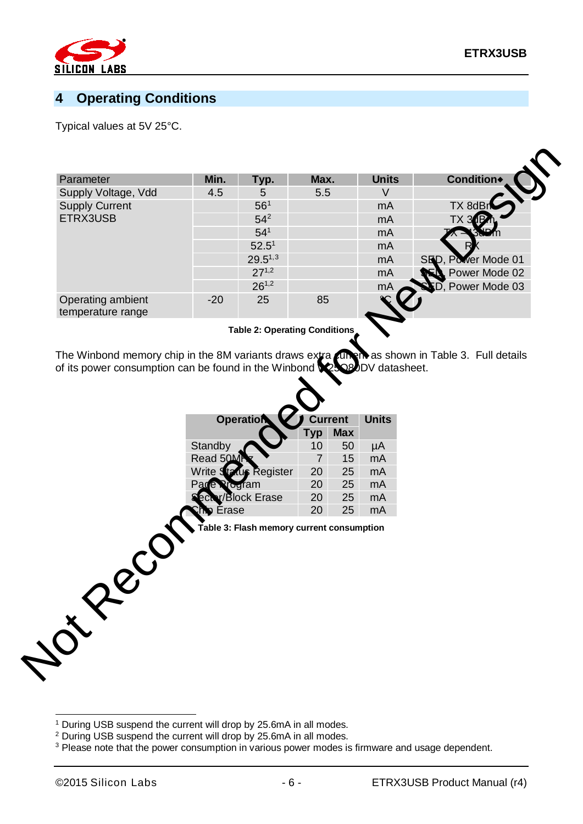

## **4 Operating Conditions**

Typical values at 5V 25°C.

| Parameter                                     | Min.  | Typ.            | Max. | <b>Units</b> | <b>Condition</b>        |
|-----------------------------------------------|-------|-----------------|------|--------------|-------------------------|
| Supply Voltage, Vdd                           | 4.5   | 5               | 5.5  |              |                         |
| <b>Supply Current</b><br>ETRX3USB             |       | 56 <sup>1</sup> |      | mA           | TX 8dBr                 |
|                                               |       | $54^{2}$        |      | mA           | TX 31                   |
|                                               |       | 54 <sup>1</sup> |      | mA           |                         |
|                                               |       | $52.5^1$        |      | mA           |                         |
|                                               |       | $29.5^{1,3}$    |      | mA           | SED, Power Mode 01      |
|                                               |       | $27^{1,2}$      |      | mA           | Power Mode 02           |
|                                               |       | $26^{1,2}$      |      | mA           | <b>D.</b> Power Mode 03 |
| <b>Operating ambient</b><br>temperature range | $-20$ | 25              | 85   |              |                         |

**Table 2: Operating Conditions**

The Winbond memory chip in the 8M variants draws extra current as shown in Table 3. Full details of its power consumption can be found in the Winbond W25Q80DV datasheet.



<span id="page-5-0"></span><sup>&</sup>lt;sup>1</sup> During USB suspend the current will drop by 25.6mA in all modes.

 $\overline{a}$ 

<span id="page-5-1"></span><sup>2</sup> During USB suspend the current will drop by 25.6mA in all modes.

<span id="page-5-2"></span><sup>&</sup>lt;sup>3</sup> Please note that the power consumption in various power modes is firmware and usage dependent.